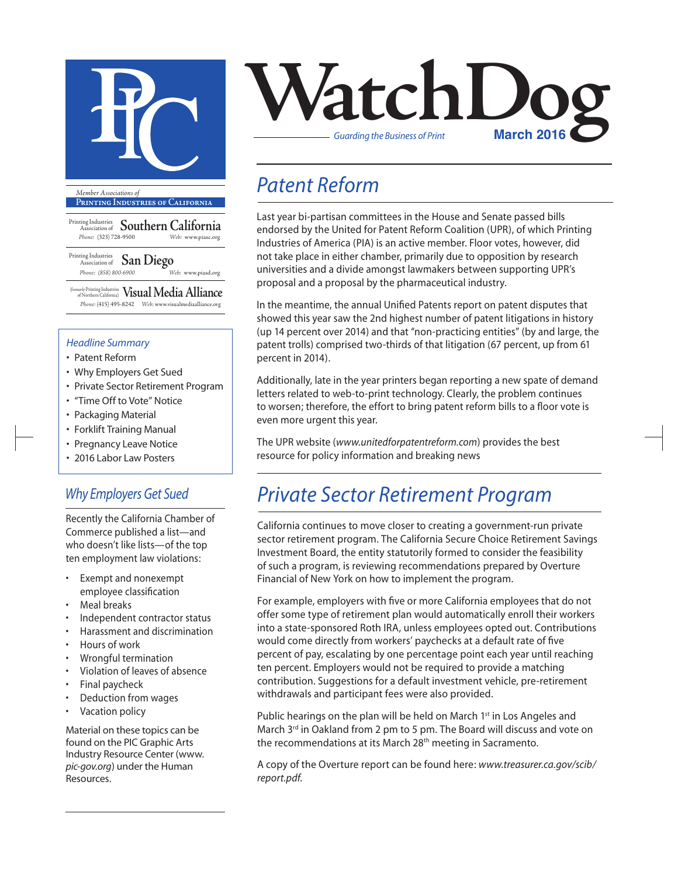

**Printing Industries of California**

Printing Industries Association of **Southern California** *Phone:* (323) 728-9500 *Web:* www.piasc.org

Printing Industries Association of **San Diego** *Phone: (858) 800-6900 Web:* www.piasd.org

(formerly Printing Industries of Northern California) **Visual Media Alliance** *Phone:* (415) 495-8242 *Web:* www.visualmediaalliance.org

#### *Headline Summary*

- Patent Reform
- Why Employers Get Sued
- Private Sector Retirement Program
- "Time Off to Vote" Notice
- Packaging Material
- Forklift Training Manual
- Pregnancy Leave Notice
- 2016 Labor Law Posters

### *Why Employers Get Sued*

Recently the California Chamber of Commerce published a list—and who doesn't like lists—of the top ten employment law violations:

- Exempt and nonexempt employee classification
- Meal breaks
- Independent contractor status
- Harassment and discrimination
- Hours of work
- Wrongful termination
- Violation of leaves of absence
- Final paycheck
- Deduction from wages
- Vacation policy

Material on these topics can be found on the PIC Graphic Arts Industry Resource Center (www. *pic-gov.org*) under the Human Resources.



## *Patent Reform*

Last year bi-partisan committees in the House and Senate passed bills endorsed by the United for Patent Reform Coalition (UPR), of which Printing Industries of America (PIA) is an active member. Floor votes, however, did not take place in either chamber, primarily due to opposition by research universities and a divide amongst lawmakers between supporting UPR's proposal and a proposal by the pharmaceutical industry.

In the meantime, the annual Unified Patents report on patent disputes that showed this year saw the 2nd highest number of patent litigations in history (up 14 percent over 2014) and that "non-practicing entities" (by and large, the patent trolls) comprised two-thirds of that litigation (67 percent, up from 61 percent in 2014).

Additionally, late in the year printers began reporting a new spate of demand letters related to web-to-print technology. Clearly, the problem continues to worsen; therefore, the effort to bring patent reform bills to a floor vote is even more urgent this year.

The UPR website (*www.unitedforpatentreform.com*) provides the best resource for policy information and breaking news

## *Private Sector Retirement Program*

California continues to move closer to creating a government-run private sector retirement program. The California Secure Choice Retirement Savings Investment Board, the entity statutorily formed to consider the feasibility of such a program, is reviewing recommendations prepared by Overture Financial of New York on how to implement the program.

For example, employers with five or more California employees that do not offer some type of retirement plan would automatically enroll their workers into a state-sponsored Roth IRA, unless employees opted out. Contributions would come directly from workers' paychecks at a default rate of five percent of pay, escalating by one percentage point each year until reaching ten percent. Employers would not be required to provide a matching contribution. Suggestions for a default investment vehicle, pre-retirement withdrawals and participant fees were also provided.

Public hearings on the plan will be held on March 1<sup>st</sup> in Los Angeles and March 3<sup>rd</sup> in Oakland from 2 pm to 5 pm. The Board will discuss and vote on the recommendations at its March 28<sup>th</sup> meeting in Sacramento.

A copy of the Overture report can be found here: *www.treasurer.ca.gov/scib/ report.pdf*.